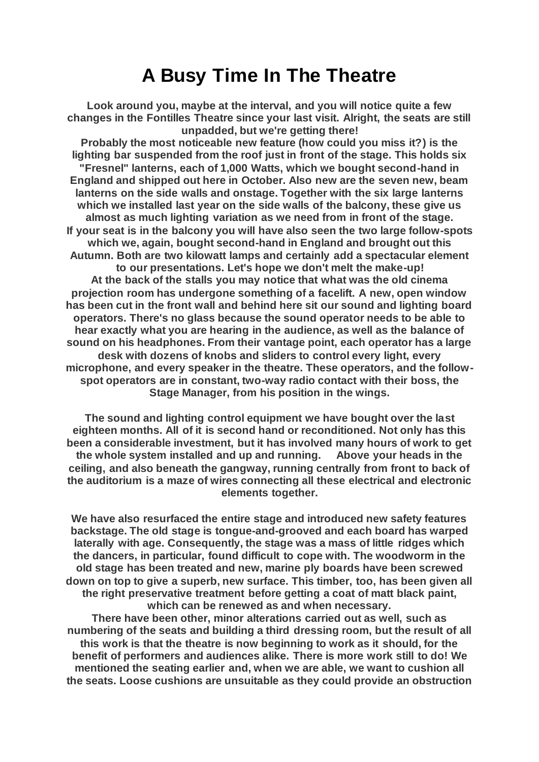## **A Busy Time In The Theatre**

**Look around you, maybe at the interval, and you will notice quite a few changes in the Fontilles Theatre since your last visit. Alright, the seats are still unpadded, but we're getting there!**

**Probably the most noticeable new feature (how could you miss it?) is the lighting bar suspended from the roof just in front of the stage. This holds six "Fresnel" lanterns, each of 1,000 Watts, which we bought second-hand in England and shipped out here in October. Also new are the seven new, beam lanterns on the side walls and onstage. Together with the six large lanterns which we installed last year on the side walls of the balcony, these give us almost as much lighting variation as we need from in front of the stage. If your seat is in the balcony you will have also seen the two large follow-spots which we, again, bought second-hand in England and brought out this Autumn. Both are two kilowatt lamps and certainly add a spectacular element to our presentations. Let's hope we don't melt the make-up! At the back of the stalls you may notice that what was the old cinema projection room has undergone something of a facelift. A new, open window has been cut in the front wall and behind here sit our sound and lighting board operators. There's no glass because the sound operator needs to be able to hear exactly what you are hearing in the audience, as well as the balance of sound on his headphones. From their vantage point, each operator has a large desk with dozens of knobs and sliders to control every light, every microphone, and every speaker in the theatre. These operators, and the followspot operators are in constant, two-way radio contact with their boss, the Stage Manager, from his position in the wings.**

**The sound and lighting control equipment we have bought over the last eighteen months. All of it is second hand or reconditioned. Not only has this been a considerable investment, but it has involved many hours of work to get the whole system installed and up and running. Above your heads in the ceiling, and also beneath the gangway, running centrally from front to back of the auditorium is a maze of wires connecting all these electrical and electronic elements together.**

**We have also resurfaced the entire stage and introduced new safety features backstage. The old stage is tongue-and-grooved and each board has warped laterally with age. Consequently, the stage was a mass of little ridges which the dancers, in particular, found difficult to cope with. The woodworm in the old stage has been treated and new, marine ply boards have been screwed down on top to give a superb, new surface. This timber, too, has been given all the right preservative treatment before getting a coat of matt black paint, which can be renewed as and when necessary.**

**There have been other, minor alterations carried out as well, such as numbering of the seats and building a third dressing room, but the result of all this work is that the theatre is now beginning to work as it should, for the benefit of performers and audiences alike. There is more work still to do! We mentioned the seating earlier and, when we are able, we want to cushion all the seats. Loose cushions are unsuitable as they could provide an obstruction**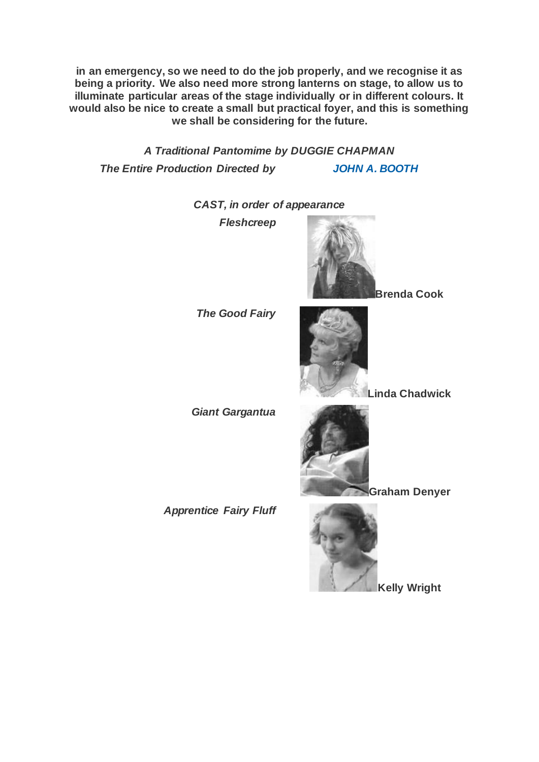**in an emergency, so we need to do the job properly, and we recognise it as being a priority. We also need more strong lanterns on stage, to allow us to illuminate particular areas of the stage individually or in different colours. It would also be nice to create a small but practical foyer, and this is something we shall be considering for the future.**

*A Traditional Pantomime by DUGGIE CHAPMAN The Entire Production Directed by [JOHN A. BOOTH](https://www.carelinetheatre.com/pastprods/johnbooth.php)*

*CAST, in order of appearance*

*Fleshcreep*



**Brenda Cook**



**Linda Chadwick**

*Giant Gargantua*

*The Good Fairy*

*Apprentice Fairy Fluff*



**Kelly Wright**

**Graham Denyer**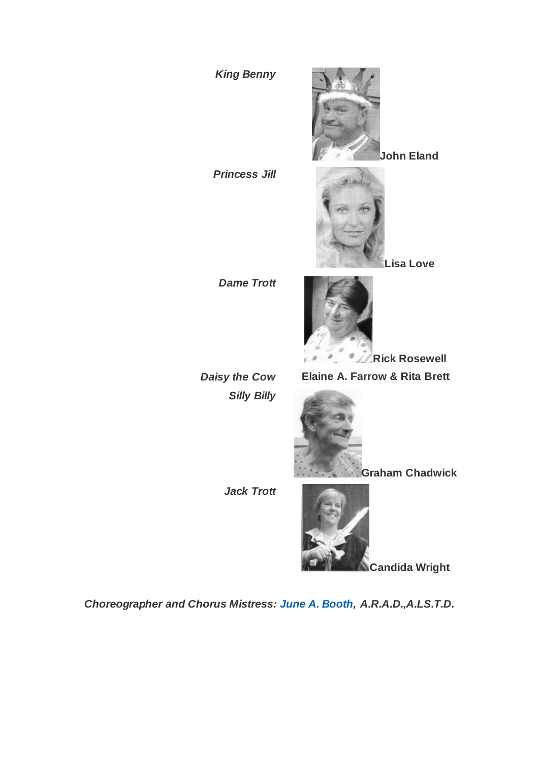

*Choreographer and Chorus Mistress: [June A. Booth,](https://www.carelinetheatre.com/pastprods/junebooth.php) A.R.A.D.,A.LS.T.D.*